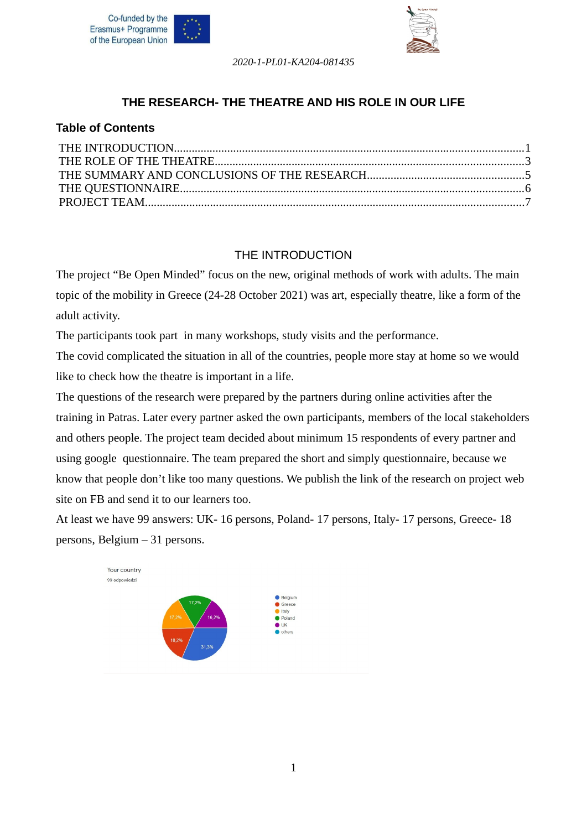



## **THE RESEARCH- THE THEATRE AND HIS ROLE IN OUR LIFE**

### **Table of Contents**

### <span id="page-0-0"></span>THE INTRODUCTION

The project "Be Open Minded" focus on the new, original methods of work with adults. The main topic of the mobility in Greece (24-28 October 2021) was art, especially theatre, like a form of the adult activity.

The participants took part in many workshops, study visits and the performance.

The covid complicated the situation in all of the countries, people more stay at home so we would like to check how the theatre is important in a life.

The questions of the research were prepared by the partners during online activities after the training in Patras. Later every partner asked the own participants, members of the local stakeholders and others people. The project team decided about minimum 15 respondents of every partner and using google questionnaire. The team prepared the short and simply questionnaire, because we know that people don't like too many questions. We publish the link of the research on project web site on FB and send it to our learners too.

At least we have 99 answers: UK- 16 persons, Poland- 17 persons, Italy- 17 persons, Greece- 18 persons, Belgium – 31 persons.

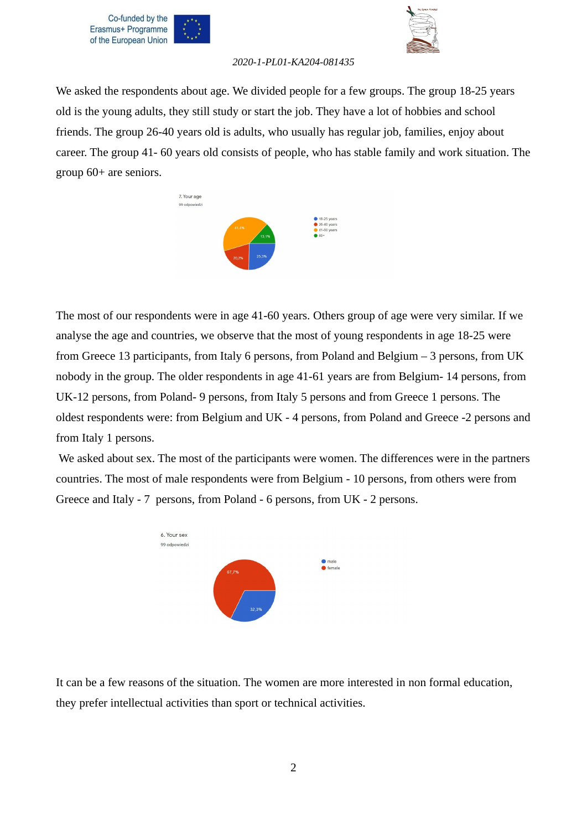



We asked the respondents about age. We divided people for a few groups. The group 18-25 years old is the young adults, they still study or start the job. They have a lot of hobbies and school friends. The group 26-40 years old is adults, who usually has regular job, families, enjoy about career. The group 41- 60 years old consists of people, who has stable family and work situation. The group 60+ are seniors.



The most of our respondents were in age 41-60 years. Others group of age were very similar. If we analyse the age and countries, we observe that the most of young respondents in age 18-25 were from Greece 13 participants, from Italy 6 persons, from Poland and Belgium – 3 persons, from UK nobody in the group. The older respondents in age 41-61 years are from Belgium- 14 persons, from UK-12 persons, from Poland- 9 persons, from Italy 5 persons and from Greece 1 persons. The oldest respondents were: from Belgium and UK - 4 persons, from Poland and Greece -2 persons and from Italy 1 persons.

 We asked about sex. The most of the participants were women. The differences were in the partners countries. The most of male respondents were from Belgium - 10 persons, from others were from Greece and Italy - 7 persons, from Poland - 6 persons, from UK - 2 persons.



It can be a few reasons of the situation. The women are more interested in non formal education, they prefer intellectual activities than sport or technical activities.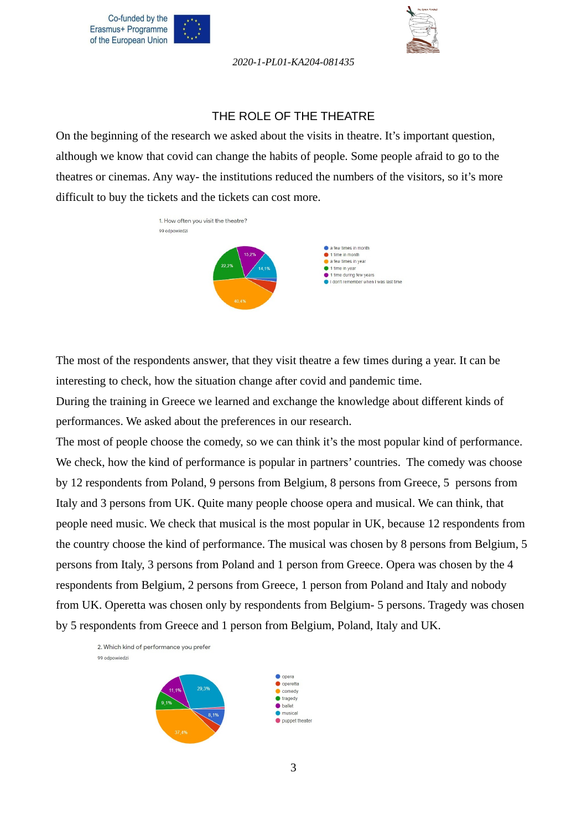



#### <span id="page-2-0"></span>THE ROLE OF THE THEATRE

On the beginning of the research we asked about the visits in theatre. It's important question, although we know that covid can change the habits of people. Some people afraid to go to the theatres or cinemas. Any way- the institutions reduced the numbers of the visitors, so it's more difficult to buy the tickets and the tickets can cost more.



The most of the respondents answer, that they visit theatre a few times during a year. It can be interesting to check, how the situation change after covid and pandemic time.

During the training in Greece we learned and exchange the knowledge about different kinds of performances. We asked about the preferences in our research.

The most of people choose the comedy, so we can think it's the most popular kind of performance. We check, how the kind of performance is popular in partners' countries. The comedy was choose by 12 respondents from Poland, 9 persons from Belgium, 8 persons from Greece, 5 persons from Italy and 3 persons from UK. Quite many people choose opera and musical. We can think, that people need music. We check that musical is the most popular in UK, because 12 respondents from the country choose the kind of performance. The musical was chosen by 8 persons from Belgium, 5 persons from Italy, 3 persons from Poland and 1 person from Greece. Opera was chosen by the 4 respondents from Belgium, 2 persons from Greece, 1 person from Poland and Italy and nobody from UK. Operetta was chosen only by respondents from Belgium- 5 persons. Tragedy was chosen by 5 respondents from Greece and 1 person from Belgium, Poland, Italy and UK.



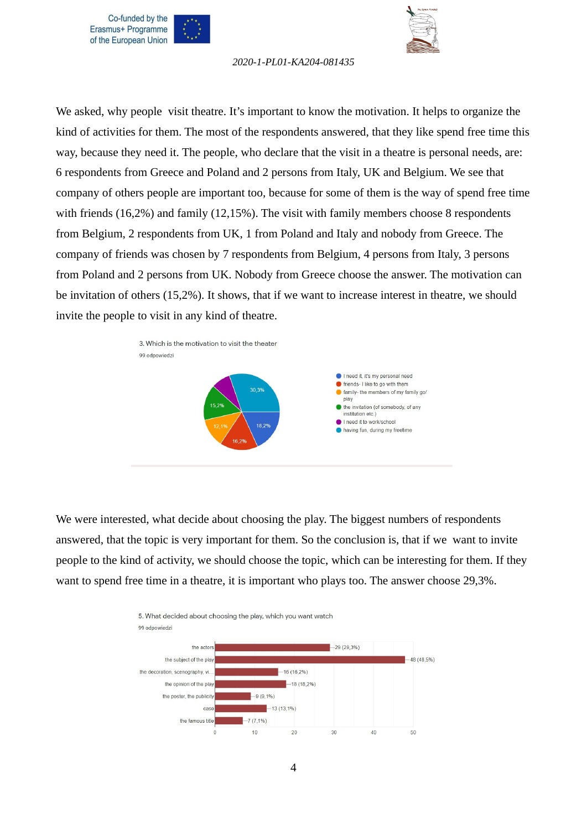



We asked, why people visit theatre. It's important to know the motivation. It helps to organize the kind of activities for them. The most of the respondents answered, that they like spend free time this way, because they need it. The people, who declare that the visit in a theatre is personal needs, are: 6 respondents from Greece and Poland and 2 persons from Italy, UK and Belgium. We see that company of others people are important too, because for some of them is the way of spend free time with friends (16,2%) and family (12,15%). The visit with family members choose 8 respondents from Belgium, 2 respondents from UK, 1 from Poland and Italy and nobody from Greece. The company of friends was chosen by 7 respondents from Belgium, 4 persons from Italy, 3 persons from Poland and 2 persons from UK. Nobody from Greece choose the answer. The motivation can be invitation of others (15,2%). It shows, that if we want to increase interest in theatre, we should invite the people to visit in any kind of theatre.



We were interested, what decide about choosing the play. The biggest numbers of respondents answered, that the topic is very important for them. So the conclusion is, that if we want to invite people to the kind of activity, we should choose the topic, which can be interesting for them. If they want to spend free time in a theatre, it is important who plays too. The answer choose 29,3%.

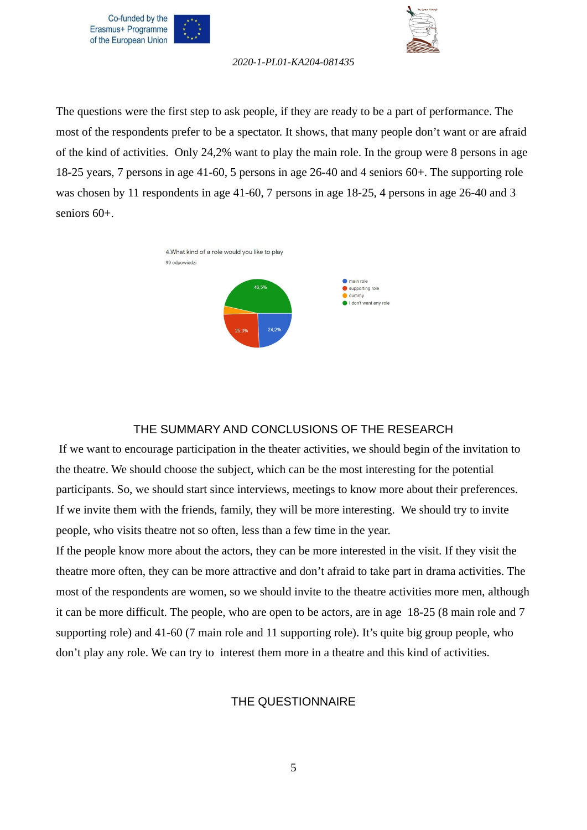



The questions were the first step to ask people, if they are ready to be a part of performance. The most of the respondents prefer to be a spectator. It shows, that many people don't want or are afraid of the kind of activities. Only 24,2% want to play the main role. In the group were 8 persons in age 18-25 years, 7 persons in age 41-60, 5 persons in age 26-40 and 4 seniors 60+. The supporting role was chosen by 11 respondents in age 41-60, 7 persons in age 18-25, 4 persons in age 26-40 and 3 seniors 60+.



#### <span id="page-4-1"></span>THE SUMMARY AND CONCLUSIONS OF THE RESEARCH

 If we want to encourage participation in the theater activities, we should begin of the invitation to the theatre. We should choose the subject, which can be the most interesting for the potential participants. So, we should start since interviews, meetings to know more about their preferences. If we invite them with the friends, family, they will be more interesting. We should try to invite people, who visits theatre not so often, less than a few time in the year.

If the people know more about the actors, they can be more interested in the visit. If they visit the theatre more often, they can be more attractive and don't afraid to take part in drama activities. The most of the respondents are women, so we should invite to the theatre activities more men, although it can be more difficult. The people, who are open to be actors, are in age 18-25 (8 main role and 7 supporting role) and 41-60 (7 main role and 11 supporting role). It's quite big group people, who don't play any role. We can try to interest them more in a theatre and this kind of activities.

#### <span id="page-4-0"></span>THE QUESTIONNAIRE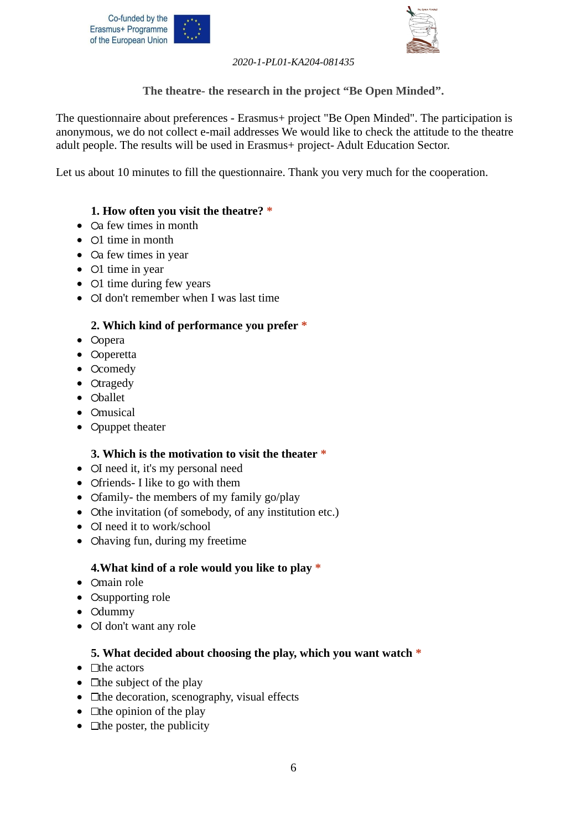



**The theatre- the research in the project "Be Open Minded".** 

The questionnaire about preferences - Erasmus+ project "Be Open Minded". The participation is anonymous, we do not collect e-mail addresses We would like to check the attitude to the theatre adult people. The results will be used in Erasmus+ project- Adult Education Sector.

Let us about 10 minutes to fill the questionnaire. Thank you very much for the cooperation.

## **1. How often you visit the theatre? \***

- Oa few times in month
- $\bullet$  O1 time in month
- $\bullet$   $\circ$  Ca few times in year
- $\bullet$  O1 time in year
- $\bullet$  O1 time during few years
- OI don't remember when I was last time

## **2. Which kind of performance you prefer \***

- Oopera
- **Ooperetta**
- Ocomedy
- $\bullet$  Otragedy
- Oballet
- Omusical
- Opuppet theater

## **3. Which is the motivation to visit the theater \***

- OI need it, it's my personal need
- Ofriends- I like to go with them
- Ofamily- the members of my family go/play
- $\bullet$  Othe invitation (of somebody, of any institution etc.)
- OI need it to work/school
- Ohaving fun, during my freetime

## **4.What kind of a role would you like to play \***

- $\bullet$  Omain role
- Osupporting role
- Odummy
- $\bullet$  OI don't want any role

## **5. What decided about choosing the play, which you want watch \***

- $\bullet$   $\Box$ the actors
- $\bullet$   $\Box$  the subject of the play
- $\bullet$   $\Box$  the decoration, scenography, visual effects
- $\bullet$   $\Box$  the opinion of the play
- $\bullet$   $\Box$  the poster, the publicity